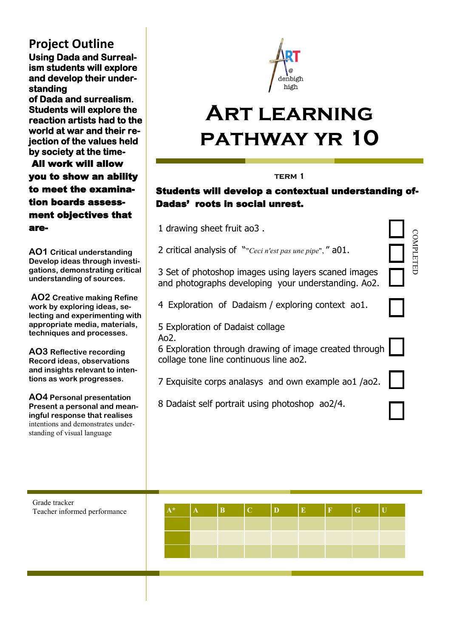## **Project Outline**

**Using Dada and Surrealism students will explore and develop their understanding** 

**of Dada and surrealism. Students will explore the reaction artists had to the world at war and their rejection of the values held by society at the time-** 

 All work will allow you to show an ability to meet the examination boards assessment objectives that are-

**AO1 Critical understanding Develop ideas through investigations, demonstrating critical understanding of sources.**

**AO2 Creative making Refine work by exploring ideas, selecting and experimenting with appropriate media, materials, techniques and processes.** 

**AO3 Reflective recording Record ideas, observations and insights relevant to intentions as work progresses.** 

**AO4 Personal presentation Present a personal and meaningful response that realises**  intentions and demonstrates understanding of visual language



# **Art learning pathway yr 10**

#### **term 1**

### Students will develop a contextual understanding of-Dadas' roots in social unrest.

- 1 [drawing sheet fruit ao3 .](https://www.artatdenbighhigh.com/gcse-page-by-page?lightbox=dataItem-j3ybw1nu3)
- 2 critical analysis of ""*Ceci n'est pas une pipe*", " a01.
- 3 Set of photoshop images using layers scaned images and photographs developing your understanding. Ao2.
- 4 Exploration of Dadaism / exploring context ao1.
- 5 Exploration of Dadaist collage  $A<sub>0</sub>$
- 6 Exploration through drawing of image created through collage tone line continuous line ao2.
- 7 Exquisite corps analasys and own example ao1 /ao2.
- 8 Dadaist self portrait using photoshop ao2/4.

COMPLETED

COMPLETED

| Grade tracker<br>Teacher informed performance | 大头 | B | $\mathbf{C}$ | $\mathbf{D}$ | E | $\overline{\mathbf{F}}$ | $\mathbf G$ |  |
|-----------------------------------------------|----|---|--------------|--------------|---|-------------------------|-------------|--|
|                                               |    |   |              |              |   |                         |             |  |
|                                               |    |   |              |              |   |                         |             |  |
|                                               |    |   |              |              |   |                         |             |  |